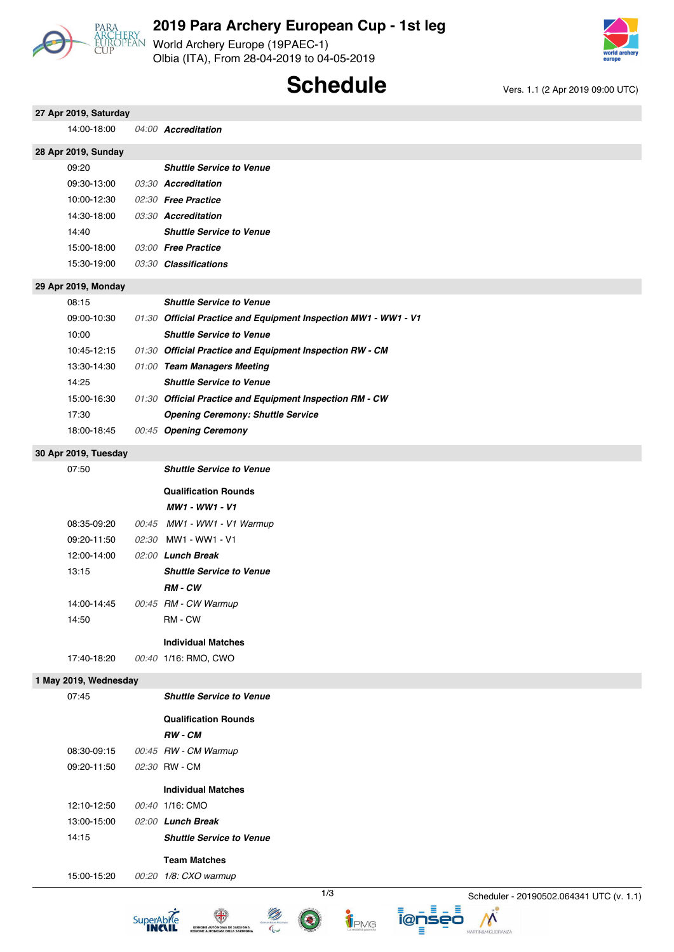

World Archery Europe (19PAEC-1) Olbia (ITA), From 28-04-2019 to 04-05-2019



## **Schedule** Vers. 1.1 (2 Apr 2019 09:00 UTC)

| 27 Apr 2019, Saturday |                                                                 |                                          |
|-----------------------|-----------------------------------------------------------------|------------------------------------------|
| 14:00 18:00           | 04:00 Accreditation                                             |                                          |
| 28 Apr 2019, Sunday   |                                                                 |                                          |
| 09:20                 | <b>Shuttle Service to Venue</b>                                 |                                          |
| 09:30-13:00           | 03:30 Accreditation                                             |                                          |
| 10:00-12:30           | 02:30 Free Practice                                             |                                          |
| 14:30-18:00           | 03:30 Accreditation                                             |                                          |
| 14:40                 | <b>Shuttle Service to Venue</b>                                 |                                          |
| 15:00-18:00           | 03:00 Free Practice                                             |                                          |
| 15:30-19:00           | 03:30 Classifications                                           |                                          |
| 29 Apr 2019, Monday   |                                                                 |                                          |
| 08:15                 | <b>Shuttle Service to Venue</b>                                 |                                          |
| 09:00-10:30           | 01:30 Official Practice and Equipment Inspection MW1 - WW1 - V1 |                                          |
| 10:00                 | <b>Shuttle Service to Venue</b>                                 |                                          |
| 10:45-12:15           | 01:30 Official Practice and Equipment Inspection RW - CM        |                                          |
| 13:30 14:30           | 01:00 Team Managers Meeting                                     |                                          |
| 14:25                 | <b>Shuttle Service to Venue</b>                                 |                                          |
| 15:00-16:30           | 01:30 Official Practice and Equipment Inspection RM - CW        |                                          |
| 17:30                 | <b>Opening Ceremony: Shuttle Service</b>                        |                                          |
| 18:00-18:45           | 00:45 Opening Ceremony                                          |                                          |
| 30 Apr 2019, Tuesday  |                                                                 |                                          |
| 07:50                 | <b>Shuttle Service to Venue</b>                                 |                                          |
|                       | <b>Qualification Rounds</b>                                     |                                          |
|                       | MW1 - WW1 - V1                                                  |                                          |
| 08:35-09:20           | 00:45 MW1 - WW1 - V1 Warmup                                     |                                          |
| 09:20-11:50           | 02:30 MW1 WW1 V1                                                |                                          |
| 12:00-14:00           | 02:00 Lunch Break                                               |                                          |
| 13:15                 | <b>Shuttle Service to Venue</b>                                 |                                          |
|                       | RM-CW                                                           |                                          |
| 14:00 14:45           | 00:45 RM - CW Warmup                                            |                                          |
| 14:50                 | RM - CW                                                         |                                          |
|                       |                                                                 |                                          |
|                       | <b>Individual Matches</b>                                       |                                          |
| 17:40-18:20           | 00:40 1/16: RMO, CWO                                            |                                          |
| 1 May 2019, Wednesday |                                                                 |                                          |
| 07:45                 | <b>Shuttle Service to Venue</b>                                 |                                          |
|                       | <b>Qualification Rounds</b>                                     |                                          |
|                       | RW-CM                                                           |                                          |
| 08:30-09:15           | 00:45 RW - CM Warmup                                            |                                          |
| 09:20-11:50           | 02:30 RW - CM                                                   |                                          |
|                       | <b>Individual Matches</b>                                       |                                          |
| 12:10-12:50           | 00:40 1/16: CMO                                                 |                                          |
| 13:00-15:00           | 02:00 Lunch Break                                               |                                          |
| 14:15                 | <b>Shuttle Service to Venue</b>                                 |                                          |
|                       | <b>Team Matches</b>                                             |                                          |
| 15:00-15:20           | 00:20 1/8: CXO warmup                                           |                                          |
|                       | 1/3                                                             | Scheduler - 20190502.064341 UTC (v. 1.1) |

<sup>O</sup>

i@nseo

 $\mathcal{N}$ 

**ENERGY AND SARDIONA**<br> **ESGIONE AUTONOMA DE SARDIONA**<br> **REGIONE AUTONOMA DELLA SARDEONA** 

SuperAbile

**B**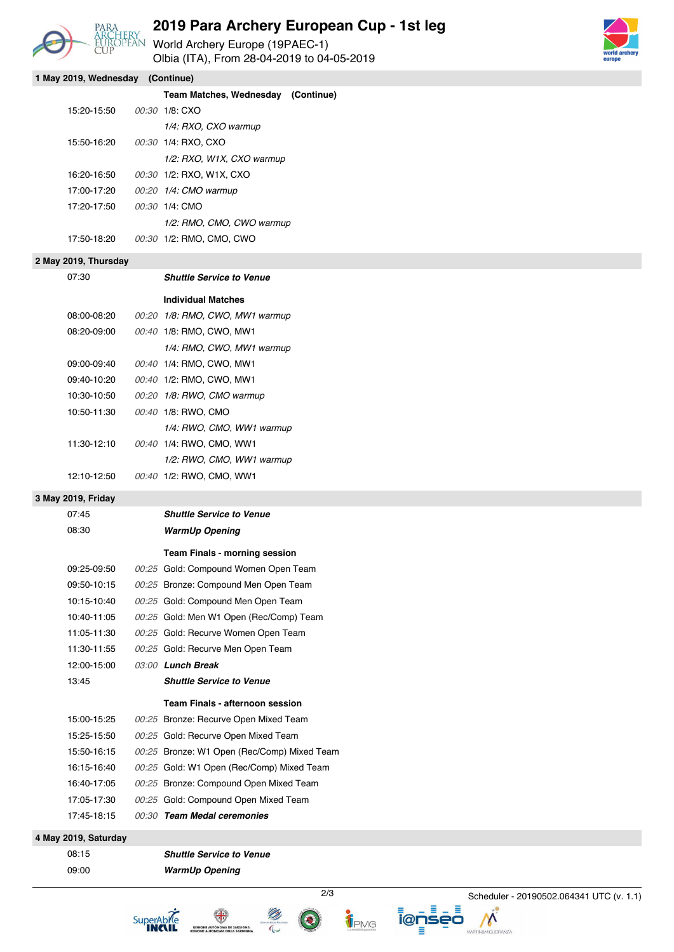

## **2019 Para Archery European Cup - 1st leg**

PARA **ZUI 9 Para Archery**  $\frac{P}{P}$ <br>
EUROPEAN World Archery Europe (19PAEC-1) Olbia (ITA), From 28-04-2019 to 04-05-2019



| 1 May 2019, Wednesday (Continue) |                             |  |                                             |  |  |  |  |
|----------------------------------|-----------------------------|--|---------------------------------------------|--|--|--|--|
|                                  |                             |  | Team Matches, Wednesday (Continue)          |  |  |  |  |
|                                  | 15:20-15:50                 |  | 00:30 1/8: CXO                              |  |  |  |  |
|                                  |                             |  | 1/4: RXO, CXO warmup                        |  |  |  |  |
|                                  | 15:50-16:20                 |  | 00:30 1/4: RXO, CXO                         |  |  |  |  |
|                                  |                             |  | 1/2: RXO, W1X, CXO warmup                   |  |  |  |  |
|                                  | 16:20-16:50                 |  | 00:30 1/2: RXO, W1X, CXO                    |  |  |  |  |
|                                  | 17:00-17:20                 |  | 00:20 1/4: CMO warmup                       |  |  |  |  |
|                                  | 17:20-17:50                 |  | 00:30 1/4: CMO                              |  |  |  |  |
|                                  |                             |  | 1/2: RMO, CMO, CWO warmup                   |  |  |  |  |
|                                  | 17:50-18:20                 |  | 00:30 1/2: RMO, CMO, CWO                    |  |  |  |  |
| 2 May 2019, Thursday             |                             |  |                                             |  |  |  |  |
|                                  | 07:30                       |  | <b>Shuttle Service to Venue</b>             |  |  |  |  |
|                                  |                             |  | <b>Individual Matches</b>                   |  |  |  |  |
|                                  | 08:00-08:20                 |  | 00:20 1/8: RMO, CWO, MW1 warmup             |  |  |  |  |
|                                  | 08:20-09:00                 |  | 00:40 1/8: RMO, CWO, MW1                    |  |  |  |  |
|                                  |                             |  | 1/4: RMO, CWO, MW1 warmup                   |  |  |  |  |
|                                  | 09:00 09:40                 |  | 00:40 1/4: RMO, CWO, MW1                    |  |  |  |  |
|                                  | 09:40 10:20                 |  | 00:40 1/2: RMO, CWO, MW1                    |  |  |  |  |
|                                  | 10:30-10:50                 |  | 00:20 1/8: RWO, CMO warmup                  |  |  |  |  |
|                                  | 10:50-11:30                 |  | 00:40 1/8: RWO, CMO                         |  |  |  |  |
|                                  |                             |  | 1/4: RWO, CMO, WW1 warmup                   |  |  |  |  |
|                                  | 11:30-12:10                 |  | 00:40 1/4: RWO, CMO, WW1                    |  |  |  |  |
|                                  |                             |  | 1/2: RWO, CMO, WW1 warmup                   |  |  |  |  |
|                                  | 12:10-12:50                 |  | 00:40 1/2: RWO, CMO, WW1                    |  |  |  |  |
|                                  |                             |  |                                             |  |  |  |  |
|                                  | 3 May 2019, Friday<br>07:45 |  | <b>Shuttle Service to Venue</b>             |  |  |  |  |
|                                  | 08:30                       |  | <b>WarmUp Opening</b>                       |  |  |  |  |
|                                  |                             |  |                                             |  |  |  |  |
|                                  |                             |  | Team Finals - morning session               |  |  |  |  |
|                                  | 09:25-09:50                 |  | 00:25 Gold: Compound Women Open Team        |  |  |  |  |
|                                  | 09:50-10:15                 |  | 00:25 Bronze: Compound Men Open Team        |  |  |  |  |
|                                  | 10:15-10:40                 |  | 00:25 Gold: Compound Men Open Team          |  |  |  |  |
|                                  | 10:40-11:05                 |  | 00:25 Gold: Men W1 Open (Rec/Comp) Team     |  |  |  |  |
|                                  | 11:05-11:30                 |  | 00:25 Gold: Recurve Women Open Team         |  |  |  |  |
|                                  | 11:30-11:55                 |  | 00:25 Gold: Recurve Men Open Team           |  |  |  |  |
|                                  | 12:00-15:00                 |  | 03:00 Lunch Break                           |  |  |  |  |
|                                  | 13:45                       |  | <b>Shuttle Service to Venue</b>             |  |  |  |  |
|                                  |                             |  | Team Finals - afternoon session             |  |  |  |  |
|                                  | 15:00-15:25                 |  | 00:25 Bronze: Recurve Open Mixed Team       |  |  |  |  |
|                                  | 15:25-15:50                 |  | 00:25 Gold: Recurve Open Mixed Team         |  |  |  |  |
|                                  | 15:50-16:15                 |  | 00:25 Bronze: W1 Open (Rec/Comp) Mixed Team |  |  |  |  |
|                                  | 16:15 16:40                 |  | 00:25 Gold: W1 Open (Rec/Comp) Mixed Team   |  |  |  |  |
|                                  | 16:40-17:05                 |  | 00:25 Bronze: Compound Open Mixed Team      |  |  |  |  |
|                                  | 17:05-17:30                 |  | 00:25 Gold: Compound Open Mixed Team        |  |  |  |  |
|                                  | 17:45-18:15                 |  | 00:30 Team Medal ceremonies                 |  |  |  |  |
|                                  | 4 May 2019, Saturday        |  |                                             |  |  |  |  |

08:15 *Shuttle Service to Venue* 09:00 *WarmUp Opening*

SuperAbile



Ξ

2/3 Scheduler - 20190502.064341 UTC (v. 1.1)

Λ